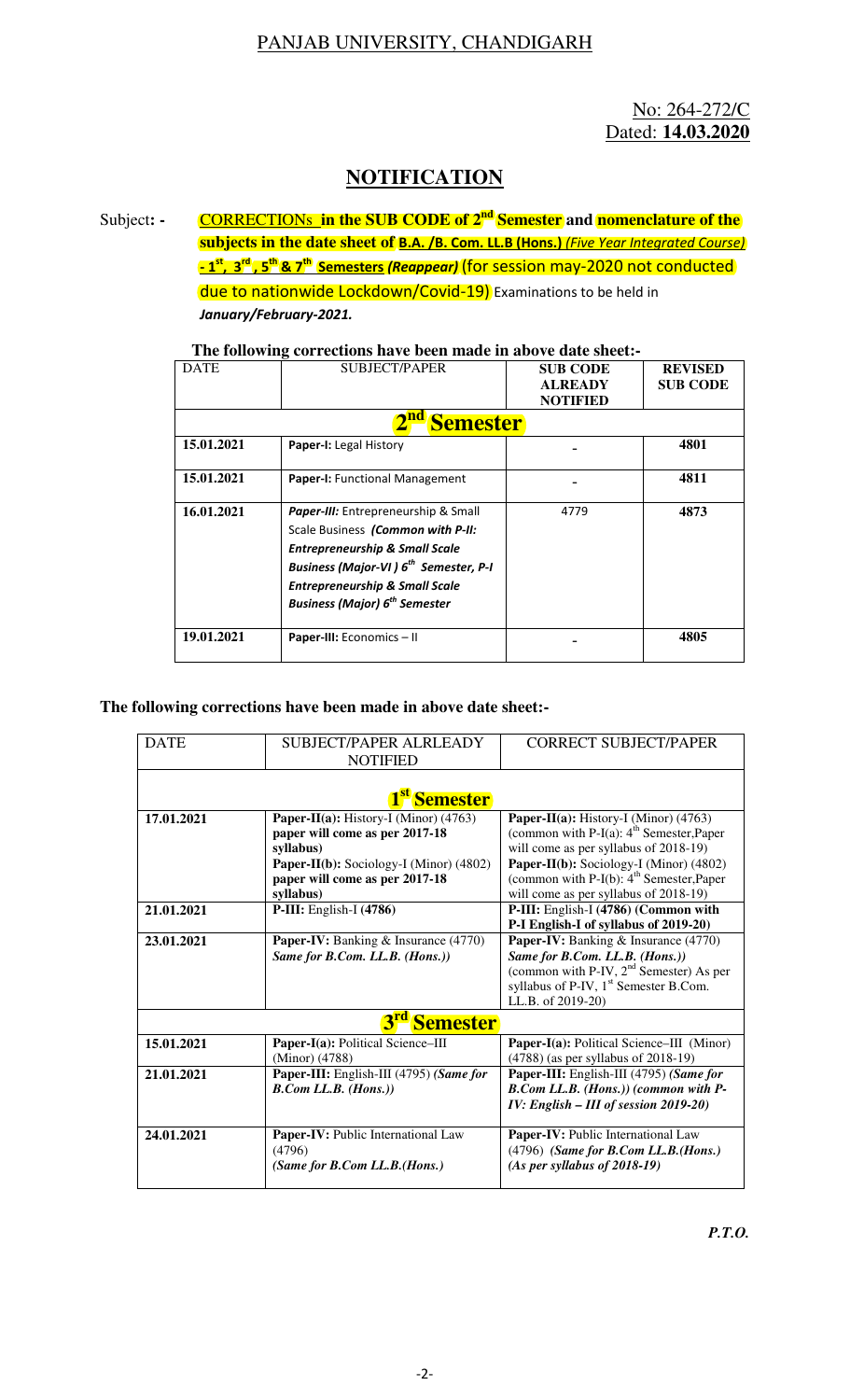## PANJAB UNIVERSITY, CHANDIGARH

No: 264-272/C Dated: **14.03.2020**

## **NOTIFICATION**

Subject: - **CORRECTIONs in the SUB CODE of 2<sup>nd</sup> Semester** and **nomenclature of the subjects in the date sheet of B.A. /B. Com. LL.B (Hons.)** *(Five Year Integrated Course)* **- 1st, 3rd , 5th & 7th Semesters** *(Reappear)* (for session may-2020 not conducted due to nationwide Lockdown/Covid-19) Examinations to be held in

*January/February-2021.* 

## **The following corrections have been made in above date sheet:-**

| <b>DATE</b>     | <b>SUBJECT/PAPER</b>                                                                                                                                                                                                                                                         | <b>SUB CODE</b> | <b>REVISED</b>  |  |  |  |
|-----------------|------------------------------------------------------------------------------------------------------------------------------------------------------------------------------------------------------------------------------------------------------------------------------|-----------------|-----------------|--|--|--|
|                 |                                                                                                                                                                                                                                                                              | <b>ALREADY</b>  | <b>SUB CODE</b> |  |  |  |
|                 |                                                                                                                                                                                                                                                                              | <b>NOTIFIED</b> |                 |  |  |  |
| <b>Semester</b> |                                                                                                                                                                                                                                                                              |                 |                 |  |  |  |
| 15.01.2021      | Paper-I: Legal History                                                                                                                                                                                                                                                       |                 | 4801            |  |  |  |
| 15.01.2021      | Paper-I: Functional Management                                                                                                                                                                                                                                               |                 | 4811            |  |  |  |
| 16.01.2021      | <b>Paper-III:</b> Entrepreneurship & Small<br>Scale Business (Common with P-II:<br><b>Entrepreneurship &amp; Small Scale</b><br><b>Business (Major-VI) 6th Semester, P-I</b><br><b>Entrepreneurship &amp; Small Scale</b><br><b>Business (Major) 6<sup>th</sup> Semester</b> | 4779            | 4873            |  |  |  |
| 19.01.2021      | <b>Paper-III:</b> Economics - II                                                                                                                                                                                                                                             |                 | 4805            |  |  |  |

## **The following corrections have been made in above date sheet:-**

| <b>DATE</b>                        | SUBJECT/PAPER ALRLEADY                  | <b>CORRECT SUBJECT/PAPER</b>                        |  |  |  |  |
|------------------------------------|-----------------------------------------|-----------------------------------------------------|--|--|--|--|
|                                    | <b>NOTIFIED</b>                         |                                                     |  |  |  |  |
|                                    |                                         |                                                     |  |  |  |  |
| 1 <sup>st</sup> Semester           |                                         |                                                     |  |  |  |  |
| 17.01.2021                         | Paper-II(a): History-I (Minor) (4763)   | Paper-II(a): History-I (Minor) (4763)               |  |  |  |  |
|                                    | paper will come as per 2017-18          | (common with P-I(a): $4th$ Semester, Paper          |  |  |  |  |
|                                    | syllabus)                               | will come as per syllabus of 2018-19)               |  |  |  |  |
|                                    | Paper-II(b): Sociology-I (Minor) (4802) | Paper-II(b): Sociology-I (Minor) (4802)             |  |  |  |  |
|                                    | paper will come as per 2017-18          | (common with P-I(b): $4th$ Semester, Paper          |  |  |  |  |
|                                    | syllabus)                               | will come as per syllabus of 2018-19)               |  |  |  |  |
| 21.01.2021                         | $P-III$ : English-I $(4786)$            | P-III: English-I (4786) (Common with                |  |  |  |  |
|                                    |                                         | P-I English-I of syllabus of 2019-20)               |  |  |  |  |
| 23.01.2021                         | Paper-IV: Banking & Insurance (4770)    | <b>Paper-IV:</b> Banking & Insurance (4770)         |  |  |  |  |
|                                    | Same for B.Com. LL.B. (Hons.))          | Same for B.Com. LL.B. (Hons.))                      |  |  |  |  |
|                                    |                                         | (common with P-IV, 2 <sup>nd</sup> Semester) As per |  |  |  |  |
|                                    |                                         | syllabus of P-IV, 1 <sup>st</sup> Semester B.Com.   |  |  |  |  |
|                                    |                                         | LL.B. of 2019-20)                                   |  |  |  |  |
| 3 <sup>rd</sup><br><b>Semester</b> |                                         |                                                     |  |  |  |  |
| 15.01.2021                         | Paper-I(a): Political Science-III       | Paper-I(a): Political Science-III (Minor)           |  |  |  |  |
|                                    | (Minor) (4788)                          | $(4788)$ (as per syllabus of 2018-19)               |  |  |  |  |
| 21.01.2021                         | Paper-III: English-III (4795) (Same for | Paper-III: English-III (4795) (Same for             |  |  |  |  |
|                                    | B. Com LL.B. (Hons.)                    | B.Com LL.B. (Hons.)) (common with P-                |  |  |  |  |
|                                    |                                         | IV: English - III of session 2019-20)               |  |  |  |  |
| 24.01.2021                         | Paper-IV: Public International Law      | Paper-IV: Public International Law                  |  |  |  |  |
|                                    | (4796)                                  | $(4796)$ (Same for B.Com LL.B.(Hons.)               |  |  |  |  |
|                                    | (Same for B.Com LL.B.(Hons.)            | $(As per syllabus of 2018-19)$                      |  |  |  |  |
|                                    |                                         |                                                     |  |  |  |  |